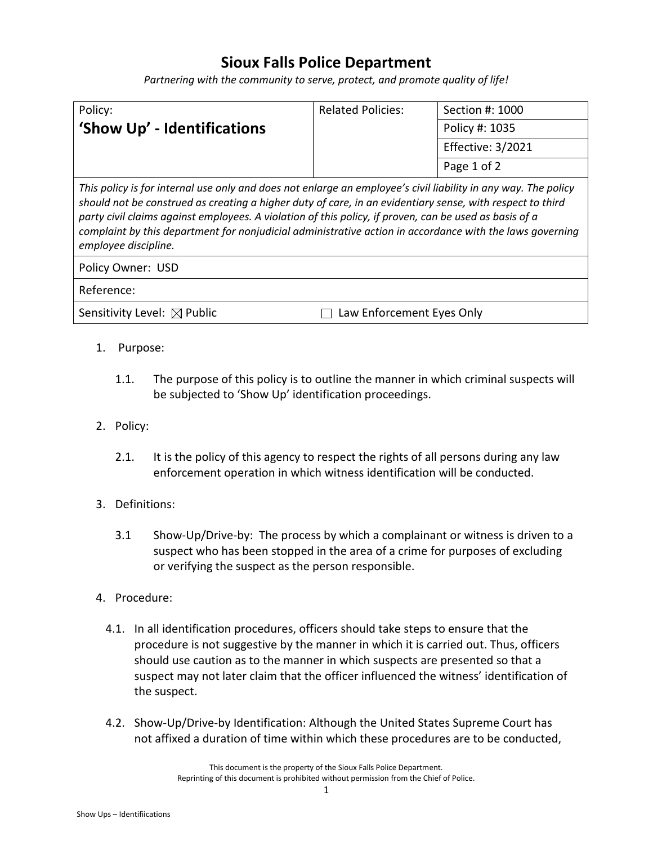## **Sioux Falls Police Department**

*Partnering with the community to serve, protect, and promote quality of life!*

| Policy:                     | <b>Related Policies:</b> | Section #: 1000   |
|-----------------------------|--------------------------|-------------------|
| 'Show Up' - Identifications |                          | Policy #: 1035    |
|                             |                          | Effective: 3/2021 |
|                             |                          | Page 1 of 2       |

*This policy is for internal use only and does not enlarge an employee's civil liability in any way. The policy should not be construed as creating a higher duty of care, in an evidentiary sense, with respect to third party civil claims against employees. A violation of this policy, if proven, can be used as basis of a complaint by this department for nonjudicial administrative action in accordance with the laws governing employee discipline.*

Policy Owner: USD

Reference:

Sensitivity Level:  $\boxtimes$  Public  $\Box$  Law Enforcement Eyes Only

- 1. Purpose:
	- 1.1. The purpose of this policy is to outline the manner in which criminal suspects will be subjected to 'Show Up' identification proceedings.
- 2. Policy:
	- 2.1. It is the policy of this agency to respect the rights of all persons during any law enforcement operation in which witness identification will be conducted.
- 3. Definitions:
	- 3.1 Show-Up/Drive-by: The process by which a complainant or witness is driven to a suspect who has been stopped in the area of a crime for purposes of excluding or verifying the suspect as the person responsible.
- 4. Procedure:
	- 4.1. In all identification procedures, officers should take steps to ensure that the procedure is not suggestive by the manner in which it is carried out. Thus, officers should use caution as to the manner in which suspects are presented so that a suspect may not later claim that the officer influenced the witness' identification of the suspect.
	- 4.2. Show-Up/Drive-by Identification: Although the United States Supreme Court has not affixed a duration of time within which these procedures are to be conducted,

This document is the property of the Sioux Falls Police Department. Reprinting of this document is prohibited without permission from the Chief of Police.